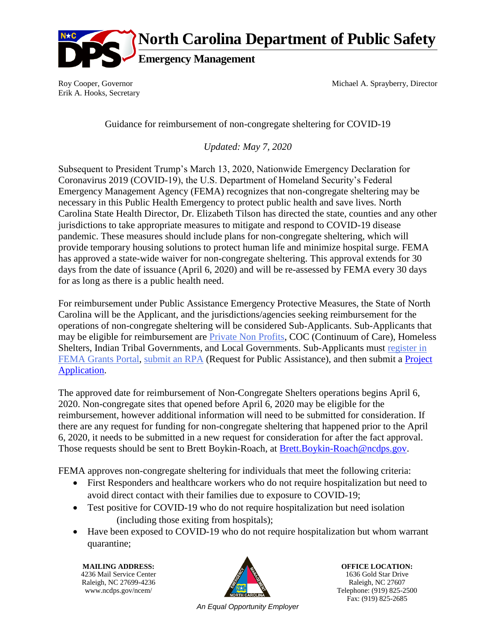

**North Carolina Department of Public Safety**

**Emergency Management**

Roy Cooper, Governor Erik A. Hooks, Secretary Michael A. Sprayberry, Director

Guidance for reimbursement of non-congregate sheltering for COVID-19

*Updated: May 7, 2020*

Subsequent to President Trump's March 13, 2020, Nationwide Emergency Declaration for Coronavirus 2019 (COVID-19), the U.S. Department of Homeland Security's Federal Emergency Management Agency (FEMA) recognizes that non-congregate sheltering may be necessary in this Public Health Emergency to protect public health and save lives. North Carolina State Health Director, Dr. Elizabeth Tilson has directed the state, counties and any other jurisdictions to take appropriate measures to mitigate and respond to COVID-19 disease pandemic. These measures should include plans for non-congregate sheltering, which will provide temporary housing solutions to protect human life and minimize hospital surge. FEMA has approved a state-wide waiver for non-congregate sheltering. This approval extends for 30 days from the date of issuance (April 6, 2020) and will be re-assessed by FEMA every 30 days for as long as there is a public health need.

For reimbursement under Public Assistance Emergency Protective Measures, the State of North Carolina will be the Applicant, and the jurisdictions/agencies seeking reimbursement for the operations of non-congregate sheltering will be considered Sub-Applicants. Sub-Applicants that may be eligible for reimbursement are [Private Non Profits,](https://www.fema.gov/news-release/2020/04/02/coronavirus-covid19-pandemic-private-nonprofit-organizations) COC (Continuum of Care), Homeless Shelters, Indian Tribal Governments, and Local Governments. Sub-Applicants must [register in](https://files.nc.gov/ncdhhs/documents/files/covid-19/Register-your-organization.pdf)  [FEMA Grants Portal,](https://files.nc.gov/ncdhhs/documents/files/covid-19/Register-your-organization.pdf) [submit an RPA](https://files.nc.gov/ncdhhs/documents/files/covid-19/Step-by-Step-for-RPA-submission.pdf) (Request for Public Assistance), and then submit a [Project](https://files.nc.gov/ncdhhs/documents/files/covid-19/Step-by-Step-for-RPA-submission.pdf)  [Application.](https://files.nc.gov/ncdhhs/documents/files/covid-19/Step-by-Step-for-RPA-submission.pdf)

The approved date for reimbursement of Non-Congregate Shelters operations begins April 6, 2020. Non-congregate sites that opened before April 6, 2020 may be eligible for the reimbursement, however additional information will need to be submitted for consideration. If there are any request for funding for non-congregate sheltering that happened prior to the April 6, 2020, it needs to be submitted in a new request for consideration for after the fact approval. Those requests should be sent to Brett Boykin-Roach, at [Brett.Boykin-Roach@ncdps.gov.](mailto:Brett.Boykin-Roach@ncdps.gov)

FEMA approves non-congregate sheltering for individuals that meet the following criteria:

- First Responders and healthcare workers who do not require hospitalization but need to avoid direct contact with their families due to exposure to COVID-19;
- Test positive for COVID-19 who do not require hospitalization but need isolation (including those exiting from hospitals);
- Have been exposed to COVID-19 who do not require hospitalization but whom warrant quarantine;

4236 Mail Service Center Raleigh, NC 27699-4236  $\mathbb{Z}$  Raleigh, NC 27607



**MAILING ADDRESS: OFFICE LOCATION: OFFICE LOCATION: OFFICE LOCATION: OFFICE LOCATION: 1636** Gold Star Drive www.ncdps.gov/ncem/ Telephone: (919) 825-2500 Fax: (919) 825-2685

*An Equal Opportunity Employer*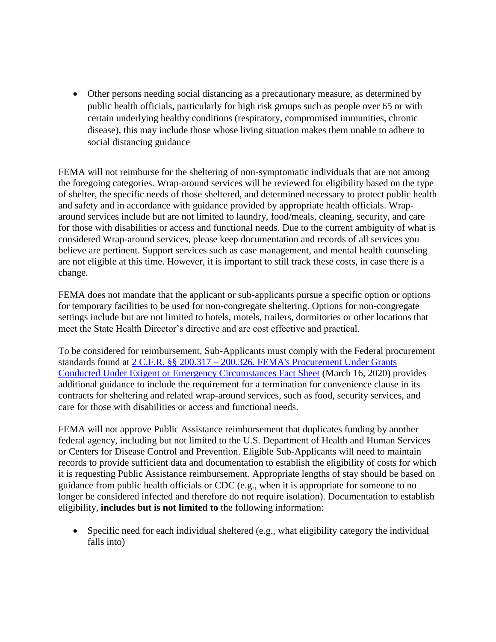Other persons needing social distancing as a precautionary measure, as determined by public health officials, particularly for high risk groups such as people over 65 or with certain underlying healthy conditions (respiratory, compromised immunities, chronic disease), this may include those whose living situation makes them unable to adhere to social distancing guidance

FEMA will not reimburse for the sheltering of non-symptomatic individuals that are not among the foregoing categories. Wrap-around services will be reviewed for eligibility based on the type of shelter, the specific needs of those sheltered, and determined necessary to protect public health and safety and in accordance with guidance provided by appropriate health officials. Wraparound services include but are not limited to laundry, food/meals, cleaning, security, and care for those with disabilities or access and functional needs. Due to the current ambiguity of what is considered Wrap-around services, please keep documentation and records of all services you believe are pertinent. Support services such as case management, and mental health counseling are not eligible at this time. However, it is important to still track these costs, in case there is a change.

FEMA does not mandate that the applicant or sub-applicants pursue a specific option or options for temporary facilities to be used for non-congregate sheltering. Options for non-congregate settings include but are not limited to hotels, motels, trailers, dormitories or other locations that meet the State Health Director's directive and are cost effective and practical.

To be considered for reimbursement, Sub-Applicants must comply with the Federal procurement standards found at 2 C.F.R. §§ 200.317 – [200.326. FEMA's Procurement Under Grants](https://www.fema.gov/news-release/2020/03/20/procurement-under-grants-under-exigent-or-emergency-circumstances)  [Conducted Under Exigent or Emergency Circumstances Fact Sheet](https://www.fema.gov/news-release/2020/03/20/procurement-under-grants-under-exigent-or-emergency-circumstances) (March 16, 2020) provides additional guidance to include the requirement for a termination for convenience clause in its contracts for sheltering and related wrap-around services, such as food, security services, and care for those with disabilities or access and functional needs.

FEMA will not approve Public Assistance reimbursement that duplicates funding by another federal agency, including but not limited to the U.S. Department of Health and Human Services or Centers for Disease Control and Prevention. Eligible Sub-Applicants will need to maintain records to provide sufficient data and documentation to establish the eligibility of costs for which it is requesting Public Assistance reimbursement. Appropriate lengths of stay should be based on guidance from public health officials or CDC (e.g., when it is appropriate for someone to no longer be considered infected and therefore do not require isolation). Documentation to establish eligibility, **includes but is not limited to** the following information:

 Specific need for each individual sheltered (e.g., what eligibility category the individual falls into)